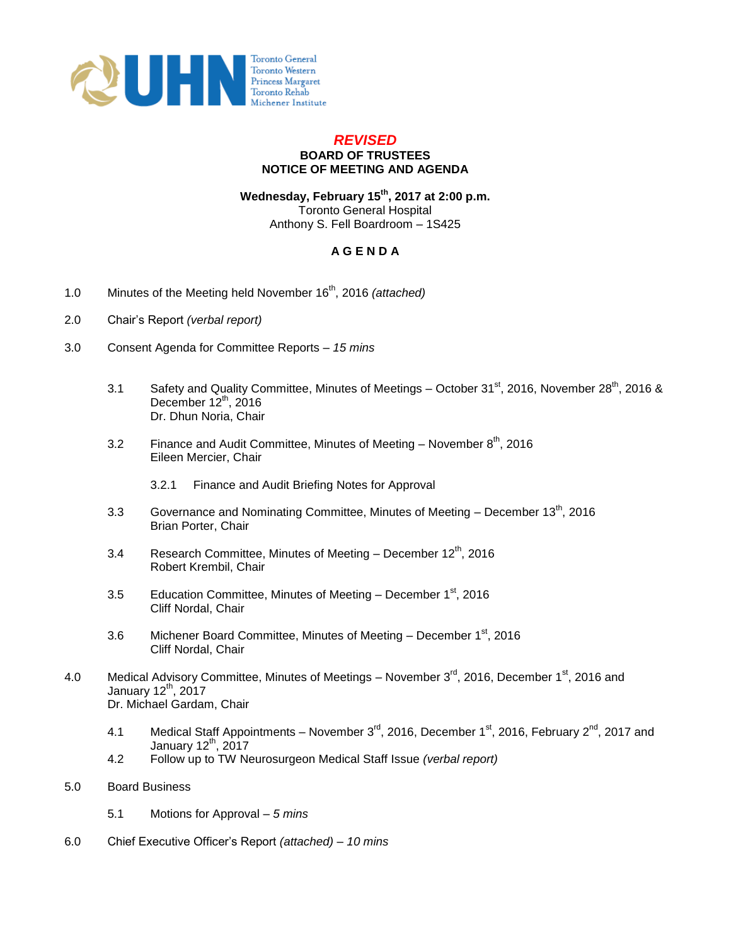

## *REVISED* **BOARD OF TRUSTEES NOTICE OF MEETING AND AGENDA**

**Wednesday, February 15th, 2017 at 2:00 p.m.**  Toronto General Hospital Anthony S. Fell Boardroom – 1S425

## **A G E N D A**

- 1.0 Minutes of the Meeting held November 16th, 2016 *(attached)*
- 2.0 Chair's Report *(verbal report)*
- 3.0 Consent Agenda for Committee Reports *– 15 mins*
	- 3.1 Safety and Quality Committee, Minutes of Meetings October 31 $\text{st}$ , 2016, November 28<sup>th</sup>, 2016 & December  $12^{th}$ , 2016 Dr. Dhun Noria, Chair
	- 3.2 Finance and Audit Committee, Minutes of Meeting November  $8<sup>th</sup>$ , 2016 Eileen Mercier, Chair
		- 3.2.1 Finance and Audit Briefing Notes for Approval
	- 3.3 Governance and Nominating Committee, Minutes of Meeting  $-$  December 13<sup>th</sup>, 2016 Brian Porter, Chair
	- 3.4 Research Committee, Minutes of Meeting December  $12<sup>th</sup>$ , 2016 Robert Krembil, Chair
	- 3.5 Education Committee, Minutes of Meeting December  $1<sup>st</sup>$ , 2016 Cliff Nordal, Chair
	- 3.6 Michener Board Committee, Minutes of Meeting December 1<sup>st</sup>, 2016 Cliff Nordal, Chair
- 4.0 Medical Advisory Committee, Minutes of Meetings November 3<sup>rd</sup>, 2016, December 1<sup>st</sup>, 2016 and January  $12^{th}$ ,  $2017$ Dr. Michael Gardam, Chair
	- 4.1 Medical Staff Appointments November  $3^{\text{rd}}$ , 2016, December 1<sup>st</sup>, 2016, February 2<sup>nd</sup>, 2017 and January  $12<sup>th</sup>$ , 2017
	- 4.2 Follow up to TW Neurosurgeon Medical Staff Issue *(verbal report)*
- 5.0 Board Business
	- 5.1 Motions for Approval *5 mins*
- 6.0 Chief Executive Officer's Report *(attached) – 10 mins*